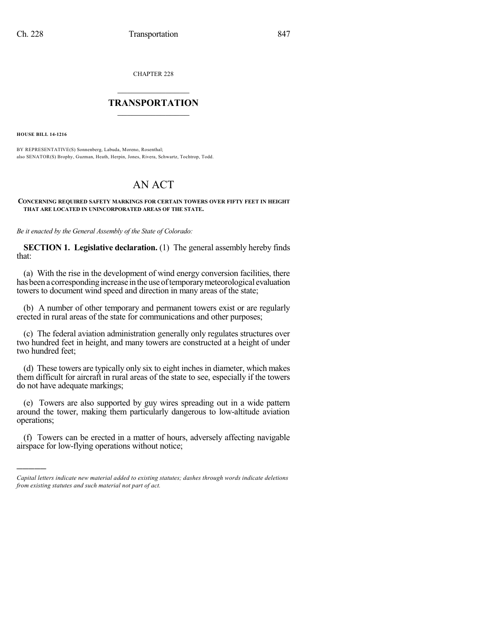CHAPTER 228

## $\overline{\phantom{a}}$  . The set of the set of the set of the set of the set of the set of the set of the set of the set of the set of the set of the set of the set of the set of the set of the set of the set of the set of the set o **TRANSPORTATION**  $\_$   $\_$   $\_$   $\_$   $\_$   $\_$   $\_$   $\_$   $\_$

**HOUSE BILL 14-1216**

)))))

BY REPRESENTATIVE(S) Sonnenberg, Labuda, Moreno, Rosenthal; also SENATOR(S) Brophy, Guzman, Heath, Herpin, Jones, Rivera, Schwartz, Tochtrop, Todd.

## AN ACT

## **CONCERNING REQUIRED SAFETY MARKINGS FOR CERTAIN TOWERS OVER FIFTY FEET IN HEIGHT THAT ARE LOCATED IN UNINCORPORATED AREAS OF THE STATE.**

*Be it enacted by the General Assembly of the State of Colorado:*

**SECTION 1. Legislative declaration.** (1) The general assembly hereby finds that:

(a) With the rise in the development of wind energy conversion facilities, there has been a corresponding increase in the use of temporary meteorological evaluation towers to document wind speed and direction in many areas of the state;

(b) A number of other temporary and permanent towers exist or are regularly erected in rural areas of the state for communications and other purposes;

(c) The federal aviation administration generally only regulates structures over two hundred feet in height, and many towers are constructed at a height of under two hundred feet;

(d) These towers are typically only six to eight inches in diameter, which makes them difficult for aircraft in rural areas of the state to see, especially if the towers do not have adequate markings;

(e) Towers are also supported by guy wires spreading out in a wide pattern around the tower, making them particularly dangerous to low-altitude aviation operations;

(f) Towers can be erected in a matter of hours, adversely affecting navigable airspace for low-flying operations without notice;

*Capital letters indicate new material added to existing statutes; dashes through words indicate deletions from existing statutes and such material not part of act.*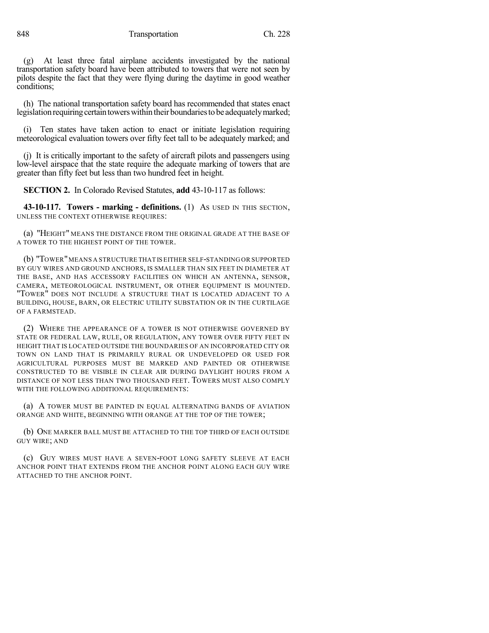848 Transportation Ch. 228

(g) At least three fatal airplane accidents investigated by the national transportation safety board have been attributed to towers that were not seen by pilots despite the fact that they were flying during the daytime in good weather conditions;

(h) The national transportation safety board has recommended that states enact legislation requiring certain towers within their boundaries to be adequately marked;

Ten states have taken action to enact or initiate legislation requiring meteorological evaluation towers over fifty feet tall to be adequately marked; and

(j) It is critically important to the safety of aircraft pilots and passengers using low-level airspace that the state require the adequate marking of towers that are greater than fifty feet but less than two hundred feet in height.

**SECTION 2.** In Colorado Revised Statutes, **add** 43-10-117 as follows:

**43-10-117. Towers - marking - definitions.** (1) AS USED IN THIS SECTION, UNLESS THE CONTEXT OTHERWISE REQUIRES:

(a) "HEIGHT" MEANS THE DISTANCE FROM THE ORIGINAL GRADE AT THE BASE OF A TOWER TO THE HIGHEST POINT OF THE TOWER.

(b) "TOWER"MEANS A STRUCTURE THAT IS EITHER SELF-STANDING OR SUPPORTED BY GUY WIRES AND GROUND ANCHORS, IS SMALLER THAN SIX FEET IN DIAMETER AT THE BASE, AND HAS ACCESSORY FACILITIES ON WHICH AN ANTENNA, SENSOR, CAMERA, METEOROLOGICAL INSTRUMENT, OR OTHER EQUIPMENT IS MOUNTED. "TOWER" DOES NOT INCLUDE A STRUCTURE THAT IS LOCATED ADJACENT TO A BUILDING, HOUSE, BARN, OR ELECTRIC UTILITY SUBSTATION OR IN THE CURTILAGE OF A FARMSTEAD.

(2) WHERE THE APPEARANCE OF A TOWER IS NOT OTHERWISE GOVERNED BY STATE OR FEDERAL LAW, RULE, OR REGULATION, ANY TOWER OVER FIFTY FEET IN HEIGHT THAT IS LOCATED OUTSIDE THE BOUNDARIES OF AN INCORPORATED CITY OR TOWN ON LAND THAT IS PRIMARILY RURAL OR UNDEVELOPED OR USED FOR AGRICULTURAL PURPOSES MUST BE MARKED AND PAINTED OR OTHERWISE CONSTRUCTED TO BE VISIBLE IN CLEAR AIR DURING DAYLIGHT HOURS FROM A DISTANCE OF NOT LESS THAN TWO THOUSAND FEET. TOWERS MUST ALSO COMPLY WITH THE FOLLOWING ADDITIONAL REQUIREMENTS:

(a) A TOWER MUST BE PAINTED IN EQUAL ALTERNATING BANDS OF AVIATION ORANGE AND WHITE, BEGINNING WITH ORANGE AT THE TOP OF THE TOWER;

(b) ONE MARKER BALL MUST BE ATTACHED TO THE TOP THIRD OF EACH OUTSIDE GUY WIRE; AND

(c) GUY WIRES MUST HAVE A SEVEN-FOOT LONG SAFETY SLEEVE AT EACH ANCHOR POINT THAT EXTENDS FROM THE ANCHOR POINT ALONG EACH GUY WIRE ATTACHED TO THE ANCHOR POINT.